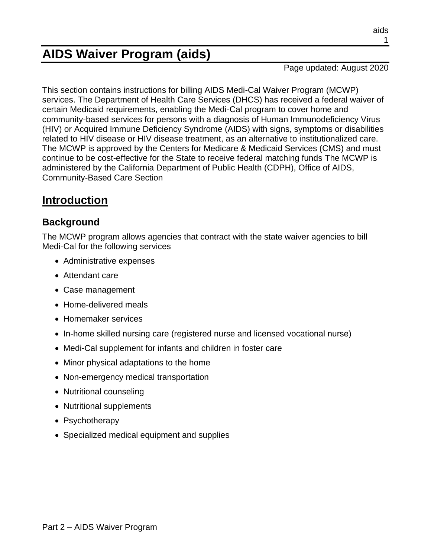# **AIDS Waiver Program (aids)**

Page updated: August 2020

This section contains instructions for billing AIDS Medi-Cal Waiver Program (MCWP) services. The Department of Health Care Services (DHCS) has received a federal waiver of certain Medicaid requirements, enabling the Medi-Cal program to cover home and community-based services for persons with a diagnosis of Human Immunodeficiency Virus (HIV) or Acquired Immune Deficiency Syndrome (AIDS) with signs, symptoms or disabilities related to HIV disease or HIV disease treatment, as an alternative to institutionalized care. The MCWP is approved by the Centers for Medicare & Medicaid Services (CMS) and must continue to be cost-effective for the State to receive federal matching funds The MCWP is administered by the California Department of Public Health (CDPH), Office of AIDS, Community-Based Care Section

# **Introduction**

## **Background**

The MCWP program allows agencies that contract with the state waiver agencies to bill Medi-Cal for the following services

- Administrative expenses
- Attendant care
- Case management
- Home-delivered meals
- Homemaker services
- In-home skilled nursing care (registered nurse and licensed vocational nurse)
- Medi-Cal supplement for infants and children in foster care
- Minor physical adaptations to the home
- Non-emergency medical transportation
- Nutritional counseling
- Nutritional supplements
- Psychotherapy
- Specialized medical equipment and supplies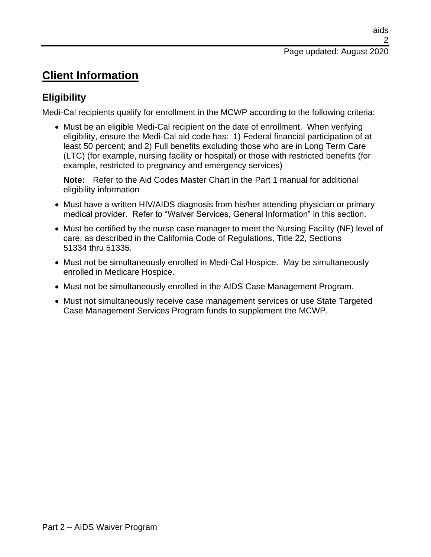# **Client Information**

# **Eligibility**

Medi-Cal recipients qualify for enrollment in the MCWP according to the following criteria:

• Must be an eligible Medi-Cal recipient on the date of enrollment. When verifying eligibility, ensure the Medi-Cal aid code has: 1) Federal financial participation of at least 50 percent; and 2) Full benefits excluding those who are in Long Term Care (LTC) (for example, nursing facility or hospital) or those with restricted benefits (for example, restricted to pregnancy and emergency services)

**Note:** Refer to the Aid Codes Master Chart in the Part 1 manual for additional eligibility information

- Must have a written HIV/AIDS diagnosis from his/her attending physician or primary medical provider. Refer to "Waiver Services, General Information" in this section.
- Must be certified by the nurse case manager to meet the Nursing Facility (NF) level of care, as described in the California Code of Regulations, Title 22, Sections 51334 thru 51335.
- Must not be simultaneously enrolled in Medi-Cal Hospice. May be simultaneously enrolled in Medicare Hospice.
- Must not be simultaneously enrolled in the AIDS Case Management Program.
- Must not simultaneously receive case management services or use State Targeted Case Management Services Program funds to supplement the MCWP.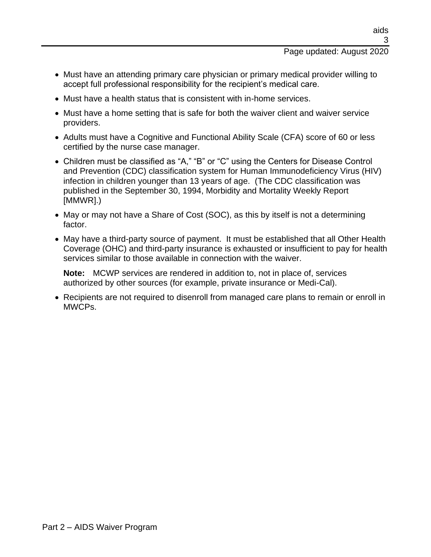#### Page updated: August 2020

- Must have an attending primary care physician or primary medical provider willing to accept full professional responsibility for the recipient's medical care.
- Must have a health status that is consistent with in-home services.
- Must have a home setting that is safe for both the waiver client and waiver service providers.
- Adults must have a Cognitive and Functional Ability Scale (CFA) score of 60 or less certified by the nurse case manager.
- Children must be classified as "A," "B" or "C" using the Centers for Disease Control and Prevention (CDC) classification system for Human Immunodeficiency Virus (HIV) infection in children younger than 13 years of age. (The CDC classification was published in the September 30, 1994, Morbidity and Mortality Weekly Report [MMWR].)
- May or may not have a Share of Cost (SOC), as this by itself is not a determining factor.
- May have a third-party source of payment. It must be established that all Other Health Coverage (OHC) and third-party insurance is exhausted or insufficient to pay for health services similar to those available in connection with the waiver.

**Note:** MCWP services are rendered in addition to, not in place of, services authorized by other sources (for example, private insurance or Medi-Cal).

• Recipients are not required to disenroll from managed care plans to remain or enroll in MWCPs.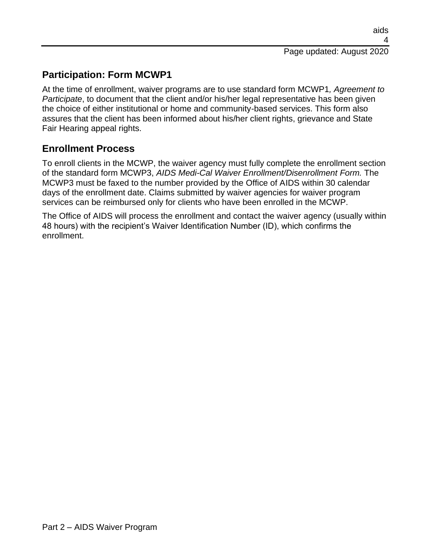# **Participation: Form MCWP1**

At the time of enrollment, waiver programs are to use standard form MCWP1*, Agreement to Participate*, to document that the client and/or his/her legal representative has been given the choice of either institutional or home and community-based services. This form also assures that the client has been informed about his/her client rights, grievance and State Fair Hearing appeal rights.

## **Enrollment Process**

To enroll clients in the MCWP, the waiver agency must fully complete the enrollment section of the standard form MCWP3, *AIDS Medi-Cal Waiver Enrollment/Disenrollment Form.* The MCWP3 must be faxed to the number provided by the Office of AIDS within 30 calendar days of the enrollment date. Claims submitted by waiver agencies for waiver program services can be reimbursed only for clients who have been enrolled in the MCWP.

The Office of AIDS will process the enrollment and contact the waiver agency (usually within 48 hours) with the recipient's Waiver Identification Number (ID), which confirms the enrollment.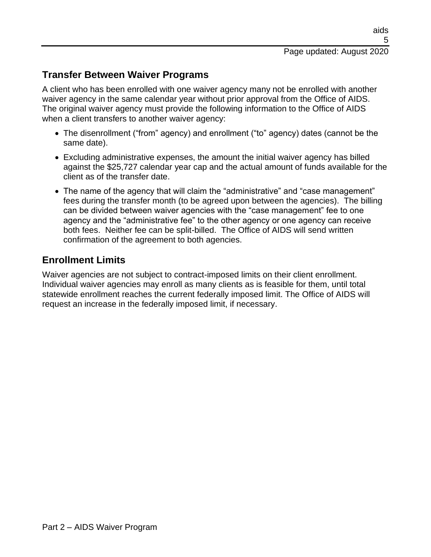## **Transfer Between Waiver Programs**

A client who has been enrolled with one waiver agency many not be enrolled with another waiver agency in the same calendar year without prior approval from the Office of AIDS. The original waiver agency must provide the following information to the Office of AIDS when a client transfers to another waiver agency:

- The disenrollment ("from" agency) and enrollment ("to" agency) dates (cannot be the same date).
- Excluding administrative expenses, the amount the initial waiver agency has billed against the \$25,727 calendar year cap and the actual amount of funds available for the client as of the transfer date.
- The name of the agency that will claim the "administrative" and "case management" fees during the transfer month (to be agreed upon between the agencies). The billing can be divided between waiver agencies with the "case management" fee to one agency and the "administrative fee" to the other agency or one agency can receive both fees. Neither fee can be split-billed. The Office of AIDS will send written confirmation of the agreement to both agencies.

## **Enrollment Limits**

Waiver agencies are not subject to contract-imposed limits on their client enrollment. Individual waiver agencies may enroll as many clients as is feasible for them, until total statewide enrollment reaches the current federally imposed limit. The Office of AIDS will request an increase in the federally imposed limit, if necessary.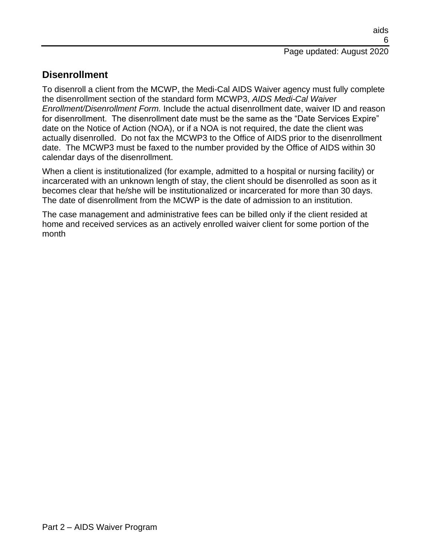## **Disenrollment**

To disenroll a client from the MCWP, the Medi-Cal AIDS Waiver agency must fully complete the disenrollment section of the standard form MCWP3, *AIDS Medi-Cal Waiver Enrollment/Disenrollment Form.* Include the actual disenrollment date, waiver ID and reason for disenrollment. The disenrollment date must be the same as the "Date Services Expire" date on the Notice of Action (NOA), or if a NOA is not required, the date the client was actually disenrolled. Do not fax the MCWP3 to the Office of AIDS prior to the disenrollment date. The MCWP3 must be faxed to the number provided by the Office of AIDS within 30 calendar days of the disenrollment.

When a client is institutionalized (for example, admitted to a hospital or nursing facility) or incarcerated with an unknown length of stay, the client should be disenrolled as soon as it becomes clear that he/she will be institutionalized or incarcerated for more than 30 days. The date of disenrollment from the MCWP is the date of admission to an institution.

The case management and administrative fees can be billed only if the client resided at home and received services as an actively enrolled waiver client for some portion of the month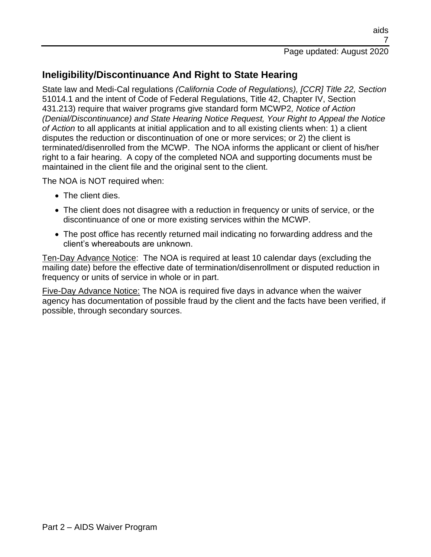## **Ineligibility/Discontinuance And Right to State Hearing**

State law and Medi-Cal regulations *(California Code of Regulations), [CCR] Title 22, Section* 51014.1 and the intent of Code of Federal Regulations, Title 42, Chapter IV, Section 431.213) require that waiver programs give standard form MCWP2*, Notice of Action (Denial/Discontinuance) and State Hearing Notice Request, Your Right to Appeal the Notice of Action* to all applicants at initial application and to all existing clients when: 1) a client disputes the reduction or discontinuation of one or more services; or 2) the client is terminated/disenrolled from the MCWP. The NOA informs the applicant or client of his/her right to a fair hearing. A copy of the completed NOA and supporting documents must be maintained in the client file and the original sent to the client.

The NOA is NOT required when:

- The client dies.
- The client does not disagree with a reduction in frequency or units of service, or the discontinuance of one or more existing services within the MCWP.
- The post office has recently returned mail indicating no forwarding address and the client's whereabouts are unknown.

Ten-Day Advance Notice: The NOA is required at least 10 calendar days (excluding the mailing date) before the effective date of termination/disenrollment or disputed reduction in frequency or units of service in whole or in part.

Five-Day Advance Notice: The NOA is required five days in advance when the waiver agency has documentation of possible fraud by the client and the facts have been verified, if possible, through secondary sources.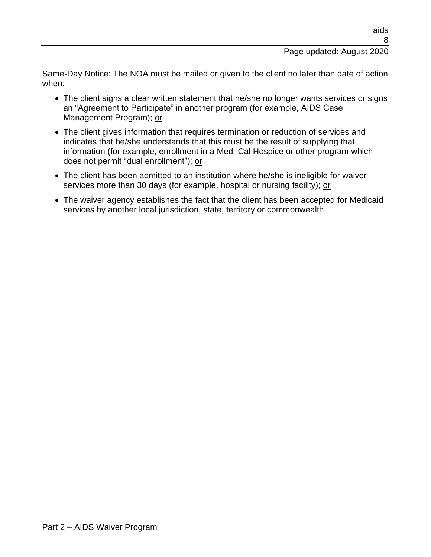#### Page updated: August 2020

Same-Day Notice: The NOA must be mailed or given to the client no later than date of action when:

- The client signs a clear written statement that he/she no longer wants services or signs an "Agreement to Participate" in another program (for example, AIDS Case Management Program); or
- The client gives information that requires termination or reduction of services and indicates that he/she understands that this must be the result of supplying that information (for example, enrollment in a Medi-Cal Hospice or other program which does not permit "dual enrollment"); or
- The client has been admitted to an institution where he/she is ineligible for waiver services more than 30 days (for example, hospital or nursing facility); or
- The waiver agency establishes the fact that the client has been accepted for Medicaid services by another local jurisdiction, state, territory or commonwealth.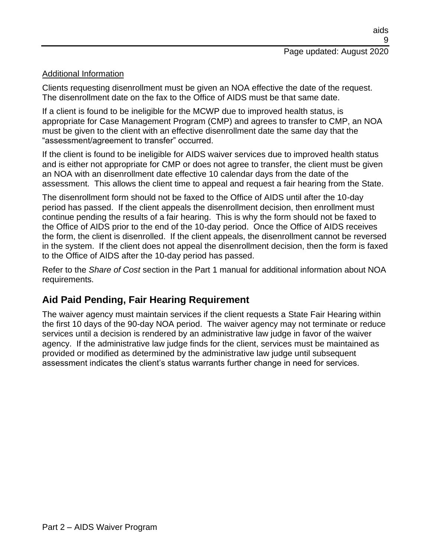#### Additional Information

Clients requesting disenrollment must be given an NOA effective the date of the request. The disenrollment date on the fax to the Office of AIDS must be that same date.

If a client is found to be ineligible for the MCWP due to improved health status, is appropriate for Case Management Program (CMP) and agrees to transfer to CMP, an NOA must be given to the client with an effective disenrollment date the same day that the "assessment/agreement to transfer" occurred.

If the client is found to be ineligible for AIDS waiver services due to improved health status and is either not appropriate for CMP or does not agree to transfer, the client must be given an NOA with an disenrollment date effective 10 calendar days from the date of the assessment. This allows the client time to appeal and request a fair hearing from the State.

The disenrollment form should not be faxed to the Office of AIDS until after the 10-day period has passed. If the client appeals the disenrollment decision, then enrollment must continue pending the results of a fair hearing. This is why the form should not be faxed to the Office of AIDS prior to the end of the 10-day period. Once the Office of AIDS receives the form, the client is disenrolled. If the client appeals, the disenrollment cannot be reversed in the system. If the client does not appeal the disenrollment decision, then the form is faxed to the Office of AIDS after the 10-day period has passed.

Refer to the *Share of Cost* section in the Part 1 manual for additional information about NOA requirements.

#### **Aid Paid Pending, Fair Hearing Requirement**

The waiver agency must maintain services if the client requests a State Fair Hearing within the first 10 days of the 90-day NOA period. The waiver agency may not terminate or reduce services until a decision is rendered by an administrative law judge in favor of the waiver agency. If the administrative law judge finds for the client, services must be maintained as provided or modified as determined by the administrative law judge until subsequent assessment indicates the client's status warrants further change in need for services.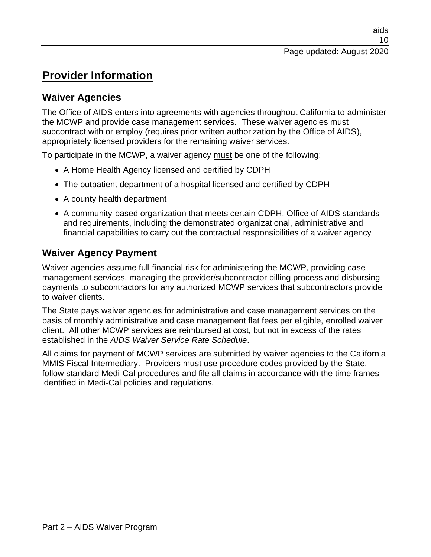# **Provider Information**

#### **Waiver Agencies**

The Office of AIDS enters into agreements with agencies throughout California to administer the MCWP and provide case management services. These waiver agencies must subcontract with or employ (requires prior written authorization by the Office of AIDS), appropriately licensed providers for the remaining waiver services.

To participate in the MCWP, a waiver agency must be one of the following:

- A Home Health Agency licensed and certified by CDPH
- The outpatient department of a hospital licensed and certified by CDPH
- A county health department
- A community-based organization that meets certain CDPH, Office of AIDS standards and requirements, including the demonstrated organizational, administrative and financial capabilities to carry out the contractual responsibilities of a waiver agency

## **Waiver Agency Payment**

Waiver agencies assume full financial risk for administering the MCWP, providing case management services, managing the provider/subcontractor billing process and disbursing payments to subcontractors for any authorized MCWP services that subcontractors provide to waiver clients.

The State pays waiver agencies for administrative and case management services on the basis of monthly administrative and case management flat fees per eligible, enrolled waiver client. All other MCWP services are reimbursed at cost, but not in excess of the rates established in the *AIDS Waiver Service Rate Schedule*.

All claims for payment of MCWP services are submitted by waiver agencies to the California MMIS Fiscal Intermediary. Providers must use procedure codes provided by the State, follow standard Medi-Cal procedures and file all claims in accordance with the time frames identified in Medi-Cal policies and regulations.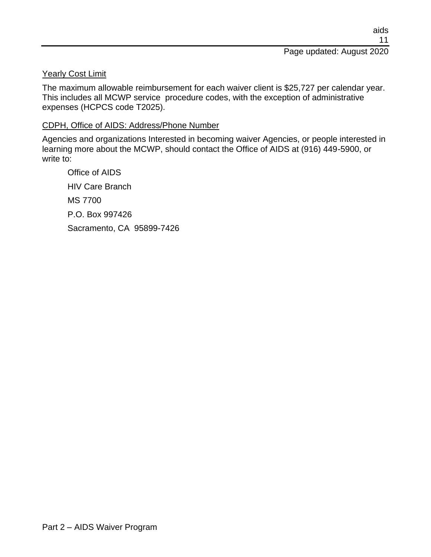#### Yearly Cost Limit

The maximum allowable reimbursement for each waiver client is \$25,727 per calendar year. This includes all MCWP service procedure codes, with the exception of administrative expenses (HCPCS code T2025).

#### CDPH, Office of AIDS: Address/Phone Number

Agencies and organizations Interested in becoming waiver Agencies, or people interested in learning more about the MCWP, should contact the Office of AIDS at (916) 449-5900, or write to:

Office of AIDS HIV Care Branch MS 7700 P.O. Box 997426 Sacramento, CA 95899-7426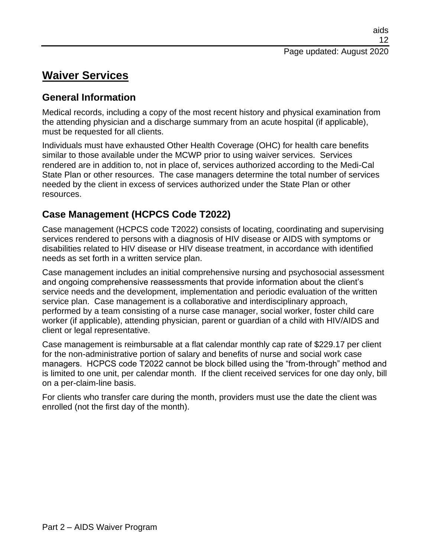# **Waiver Services**

## **General Information**

Medical records, including a copy of the most recent history and physical examination from the attending physician and a discharge summary from an acute hospital (if applicable), must be requested for all clients.

Individuals must have exhausted Other Health Coverage (OHC) for health care benefits similar to those available under the MCWP prior to using waiver services. Services rendered are in addition to, not in place of, services authorized according to the Medi-Cal State Plan or other resources. The case managers determine the total number of services needed by the client in excess of services authorized under the State Plan or other resources.

## **Case Management (HCPCS Code T2022)**

Case management (HCPCS code T2022) consists of locating, coordinating and supervising services rendered to persons with a diagnosis of HIV disease or AIDS with symptoms or disabilities related to HIV disease or HIV disease treatment, in accordance with identified needs as set forth in a written service plan.

Case management includes an initial comprehensive nursing and psychosocial assessment and ongoing comprehensive reassessments that provide information about the client's service needs and the development, implementation and periodic evaluation of the written service plan. Case management is a collaborative and interdisciplinary approach, performed by a team consisting of a nurse case manager, social worker, foster child care worker (if applicable), attending physician, parent or guardian of a child with HIV/AIDS and client or legal representative.

Case management is reimbursable at a flat calendar monthly cap rate of \$229.17 per client for the non-administrative portion of salary and benefits of nurse and social work case managers. HCPCS code T2022 cannot be block billed using the "from-through" method and is limited to one unit, per calendar month. If the client received services for one day only, bill on a per-claim-line basis.

For clients who transfer care during the month, providers must use the date the client was enrolled (not the first day of the month).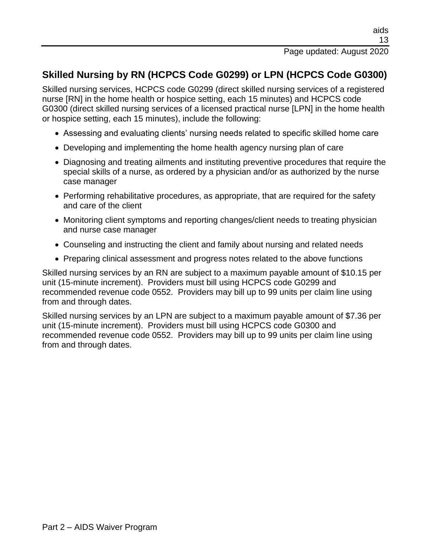# **Skilled Nursing by RN (HCPCS Code G0299) or LPN (HCPCS Code G0300)**

Skilled nursing services, HCPCS code G0299 (direct skilled nursing services of a registered nurse [RN] in the home health or hospice setting, each 15 minutes) and HCPCS code G0300 (direct skilled nursing services of a licensed practical nurse [LPN] in the home health or hospice setting, each 15 minutes), include the following:

- Assessing and evaluating clients' nursing needs related to specific skilled home care
- Developing and implementing the home health agency nursing plan of care
- Diagnosing and treating ailments and instituting preventive procedures that require the special skills of a nurse, as ordered by a physician and/or as authorized by the nurse case manager
- Performing rehabilitative procedures, as appropriate, that are required for the safety and care of the client
- Monitoring client symptoms and reporting changes/client needs to treating physician and nurse case manager
- Counseling and instructing the client and family about nursing and related needs
- Preparing clinical assessment and progress notes related to the above functions

Skilled nursing services by an RN are subject to a maximum payable amount of \$10.15 per unit (15-minute increment). Providers must bill using HCPCS code G0299 and recommended revenue code 0552. Providers may bill up to 99 units per claim line using from and through dates.

Skilled nursing services by an LPN are subject to a maximum payable amount of \$7.36 per unit (15-minute increment). Providers must bill using HCPCS code G0300 and recommended revenue code 0552. Providers may bill up to 99 units per claim line using from and through dates.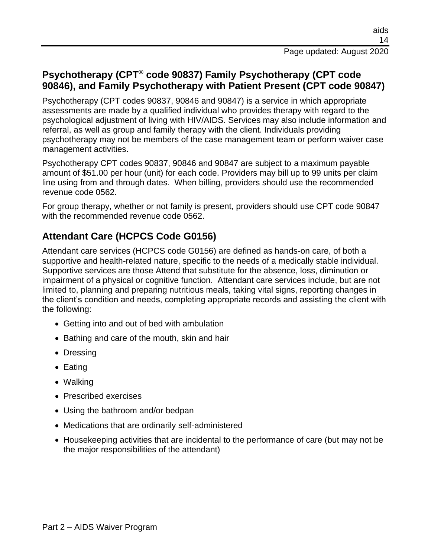### **Psychotherapy (CPT® code 90837) Family Psychotherapy (CPT code 90846), and Family Psychotherapy with Patient Present (CPT code 90847)**

Psychotherapy (CPT codes 90837, 90846 and 90847) is a service in which appropriate assessments are made by a qualified individual who provides therapy with regard to the psychological adjustment of living with HIV/AIDS. Services may also include information and referral, as well as group and family therapy with the client. Individuals providing psychotherapy may not be members of the case management team or perform waiver case management activities.

Psychotherapy CPT codes 90837, 90846 and 90847 are subject to a maximum payable amount of \$51.00 per hour (unit) for each code. Providers may bill up to 99 units per claim line using from and through dates. When billing, providers should use the recommended revenue code 0562.

For group therapy, whether or not family is present, providers should use CPT code 90847 with the recommended revenue code 0562.

## **Attendant Care (HCPCS Code G0156)**

Attendant care services (HCPCS code G0156) are defined as hands-on care, of both a supportive and health-related nature, specific to the needs of a medically stable individual. Supportive services are those Attend that substitute for the absence, loss, diminution or impairment of a physical or cognitive function. Attendant care services include, but are not limited to, planning and preparing nutritious meals, taking vital signs, reporting changes in the client's condition and needs, completing appropriate records and assisting the client with the following:

- Getting into and out of bed with ambulation
- Bathing and care of the mouth, skin and hair
- Dressing
- Eating
- Walking
- Prescribed exercises
- Using the bathroom and/or bedpan
- Medications that are ordinarily self-administered
- Housekeeping activities that are incidental to the performance of care (but may not be the major responsibilities of the attendant)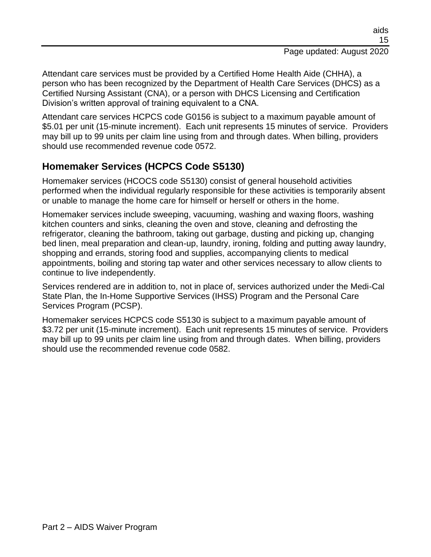Attendant care services must be provided by a Certified Home Health Aide (CHHA), a person who has been recognized by the Department of Health Care Services (DHCS) as a Certified Nursing Assistant (CNA), or a person with DHCS Licensing and Certification Division's written approval of training equivalent to a CNA.

Attendant care services HCPCS code G0156 is subject to a maximum payable amount of \$5.01 per unit (15-minute increment). Each unit represents 15 minutes of service. Providers may bill up to 99 units per claim line using from and through dates. When billing, providers should use recommended revenue code 0572.

### **Homemaker Services (HCPCS Code S5130)**

Homemaker services (HCOCS code S5130) consist of general household activities performed when the individual regularly responsible for these activities is temporarily absent or unable to manage the home care for himself or herself or others in the home.

Homemaker services include sweeping, vacuuming, washing and waxing floors, washing kitchen counters and sinks, cleaning the oven and stove, cleaning and defrosting the refrigerator, cleaning the bathroom, taking out garbage, dusting and picking up, changing bed linen, meal preparation and clean-up, laundry, ironing, folding and putting away laundry, shopping and errands, storing food and supplies, accompanying clients to medical appointments, boiling and storing tap water and other services necessary to allow clients to continue to live independently.

Services rendered are in addition to, not in place of, services authorized under the Medi-Cal State Plan, the In-Home Supportive Services (IHSS) Program and the Personal Care Services Program (PCSP).

Homemaker services HCPCS code S5130 is subject to a maximum payable amount of \$3.72 per unit (15-minute increment). Each unit represents 15 minutes of service. Providers may bill up to 99 units per claim line using from and through dates. When billing, providers should use the recommended revenue code 0582.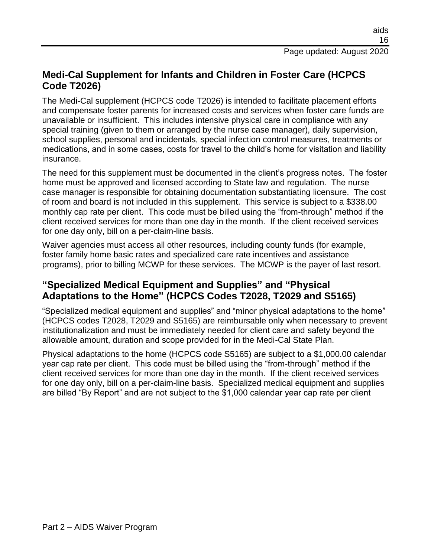### **Medi-Cal Supplement for Infants and Children in Foster Care (HCPCS Code T2026)**

The Medi-Cal supplement (HCPCS code T2026) is intended to facilitate placement efforts and compensate foster parents for increased costs and services when foster care funds are unavailable or insufficient. This includes intensive physical care in compliance with any special training (given to them or arranged by the nurse case manager), daily supervision, school supplies, personal and incidentals, special infection control measures, treatments or medications, and in some cases, costs for travel to the child's home for visitation and liability insurance.

The need for this supplement must be documented in the client's progress notes. The foster home must be approved and licensed according to State law and regulation. The nurse case manager is responsible for obtaining documentation substantiating licensure. The cost of room and board is not included in this supplement. This service is subject to a \$338.00 monthly cap rate per client. This code must be billed using the "from-through" method if the client received services for more than one day in the month. If the client received services for one day only, bill on a per-claim-line basis.

Waiver agencies must access all other resources, including county funds (for example, foster family home basic rates and specialized care rate incentives and assistance programs), prior to billing MCWP for these services. The MCWP is the payer of last resort.

### **"Specialized Medical Equipment and Supplies" and "Physical Adaptations to the Home" (HCPCS Codes T2028, T2029 and S5165)**

"Specialized medical equipment and supplies" and "minor physical adaptations to the home" (HCPCS codes T2028, T2029 and S5165) are reimbursable only when necessary to prevent institutionalization and must be immediately needed for client care and safety beyond the allowable amount, duration and scope provided for in the Medi-Cal State Plan.

Physical adaptations to the home (HCPCS code S5165) are subject to a \$1,000.00 calendar year cap rate per client. This code must be billed using the "from-through" method if the client received services for more than one day in the month. If the client received services for one day only, bill on a per-claim-line basis. Specialized medical equipment and supplies are billed "By Report" and are not subject to the \$1,000 calendar year cap rate per client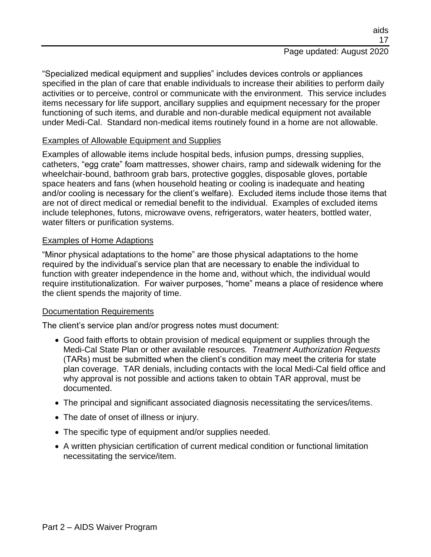#### aids 17 Page updated: August 2020

"Specialized medical equipment and supplies" includes devices controls or appliances specified in the plan of care that enable individuals to increase their abilities to perform daily activities or to perceive, control or communicate with the environment. This service includes items necessary for life support, ancillary supplies and equipment necessary for the proper functioning of such items, and durable and non-durable medical equipment not available under Medi-Cal. Standard non-medical items routinely found in a home are not allowable.

#### Examples of Allowable Equipment and Supplies

Examples of allowable items include hospital beds, infusion pumps, dressing supplies, catheters, "egg crate" foam mattresses, shower chairs, ramp and sidewalk widening for the wheelchair-bound, bathroom grab bars, protective goggles, disposable gloves, portable space heaters and fans (when household heating or cooling is inadequate and heating and/or cooling is necessary for the client's welfare). Excluded items include those items that are not of direct medical or remedial benefit to the individual. Examples of excluded items include telephones, futons, microwave ovens, refrigerators, water heaters, bottled water, water filters or purification systems.

#### Examples of Home Adaptions

"Minor physical adaptations to the home" are those physical adaptations to the home required by the individual's service plan that are necessary to enable the individual to function with greater independence in the home and, without which, the individual would require institutionalization. For waiver purposes, "home" means a place of residence where the client spends the majority of time.

#### Documentation Requirements

The client's service plan and/or progress notes must document:

- Good faith efforts to obtain provision of medical equipment or supplies through the Medi-Cal State Plan or other available resources*. Treatment Authorization Requests* (TARs) must be submitted when the client's condition may meet the criteria for state plan coverage. TAR denials, including contacts with the local Medi-Cal field office and why approval is not possible and actions taken to obtain TAR approval, must be documented.
- The principal and significant associated diagnosis necessitating the services/items.
- The date of onset of illness or injury.
- The specific type of equipment and/or supplies needed.
- A written physician certification of current medical condition or functional limitation necessitating the service/item.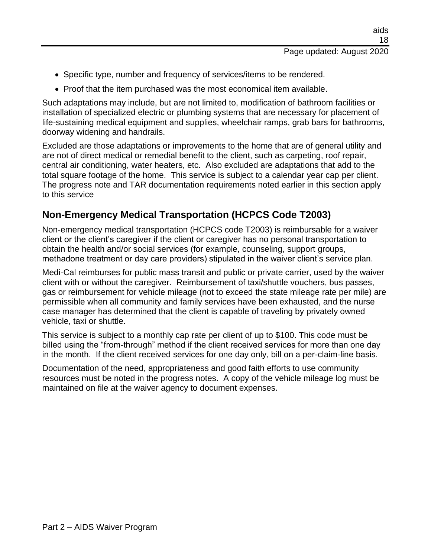- Specific type, number and frequency of services/items to be rendered.
- Proof that the item purchased was the most economical item available.

Such adaptations may include, but are not limited to, modification of bathroom facilities or installation of specialized electric or plumbing systems that are necessary for placement of life-sustaining medical equipment and supplies, wheelchair ramps, grab bars for bathrooms, doorway widening and handrails.

Excluded are those adaptations or improvements to the home that are of general utility and are not of direct medical or remedial benefit to the client, such as carpeting, roof repair, central air conditioning, water heaters, etc. Also excluded are adaptations that add to the total square footage of the home. This service is subject to a calendar year cap per client. The progress note and TAR documentation requirements noted earlier in this section apply to this service

## **Non-Emergency Medical Transportation (HCPCS Code T2003)**

Non-emergency medical transportation (HCPCS code T2003) is reimbursable for a waiver client or the client's caregiver if the client or caregiver has no personal transportation to obtain the health and/or social services (for example, counseling, support groups, methadone treatment or day care providers) stipulated in the waiver client's service plan.

Medi-Cal reimburses for public mass transit and public or private carrier, used by the waiver client with or without the caregiver. Reimbursement of taxi/shuttle vouchers, bus passes, gas or reimbursement for vehicle mileage (not to exceed the state mileage rate per mile) are permissible when all community and family services have been exhausted, and the nurse case manager has determined that the client is capable of traveling by privately owned vehicle, taxi or shuttle.

This service is subject to a monthly cap rate per client of up to \$100. This code must be billed using the "from-through" method if the client received services for more than one day in the month. If the client received services for one day only, bill on a per-claim-line basis.

Documentation of the need, appropriateness and good faith efforts to use community resources must be noted in the progress notes. A copy of the vehicle mileage log must be maintained on file at the waiver agency to document expenses.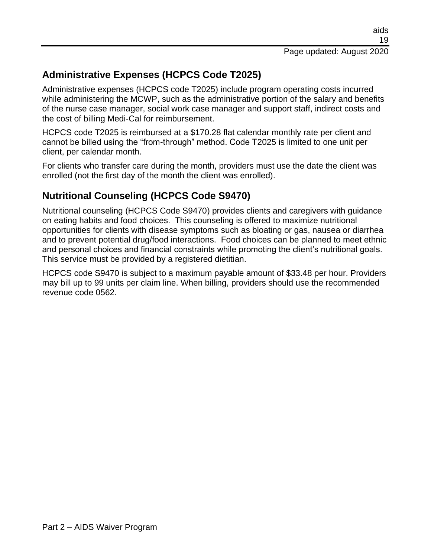# **Administrative Expenses (HCPCS Code T2025)**

Administrative expenses (HCPCS code T2025) include program operating costs incurred while administering the MCWP, such as the administrative portion of the salary and benefits of the nurse case manager, social work case manager and support staff, indirect costs and the cost of billing Medi-Cal for reimbursement.

HCPCS code T2025 is reimbursed at a \$170.28 flat calendar monthly rate per client and cannot be billed using the "from-through" method. Code T2025 is limited to one unit per client, per calendar month.

For clients who transfer care during the month, providers must use the date the client was enrolled (not the first day of the month the client was enrolled).

## **Nutritional Counseling (HCPCS Code S9470)**

Nutritional counseling (HCPCS Code S9470) provides clients and caregivers with guidance on eating habits and food choices. This counseling is offered to maximize nutritional opportunities for clients with disease symptoms such as bloating or gas, nausea or diarrhea and to prevent potential drug/food interactions. Food choices can be planned to meet ethnic and personal choices and financial constraints while promoting the client's nutritional goals. This service must be provided by a registered dietitian.

HCPCS code S9470 is subject to a maximum payable amount of \$33.48 per hour. Providers may bill up to 99 units per claim line. When billing, providers should use the recommended revenue code 0562.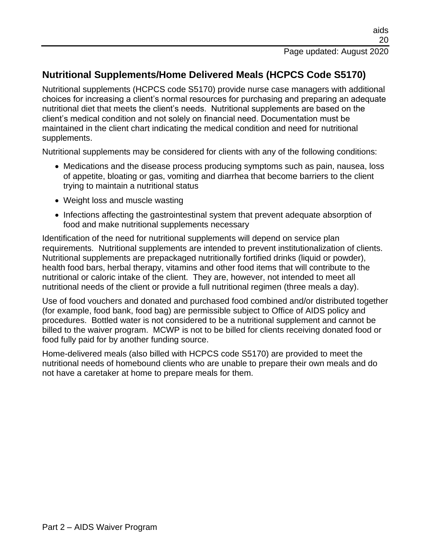# **Nutritional Supplements/Home Delivered Meals (HCPCS Code S5170)**

Nutritional supplements (HCPCS code S5170) provide nurse case managers with additional choices for increasing a client's normal resources for purchasing and preparing an adequate nutritional diet that meets the client's needs. Nutritional supplements are based on the client's medical condition and not solely on financial need. Documentation must be maintained in the client chart indicating the medical condition and need for nutritional supplements.

Nutritional supplements may be considered for clients with any of the following conditions:

- Medications and the disease process producing symptoms such as pain, nausea, loss of appetite, bloating or gas, vomiting and diarrhea that become barriers to the client trying to maintain a nutritional status
- Weight loss and muscle wasting
- Infections affecting the gastrointestinal system that prevent adequate absorption of food and make nutritional supplements necessary

Identification of the need for nutritional supplements will depend on service plan requirements. Nutritional supplements are intended to prevent institutionalization of clients. Nutritional supplements are prepackaged nutritionally fortified drinks (liquid or powder), health food bars, herbal therapy, vitamins and other food items that will contribute to the nutritional or caloric intake of the client. They are, however, not intended to meet all nutritional needs of the client or provide a full nutritional regimen (three meals a day).

Use of food vouchers and donated and purchased food combined and/or distributed together (for example, food bank, food bag) are permissible subject to Office of AIDS policy and procedures. Bottled water is not considered to be a nutritional supplement and cannot be billed to the waiver program. MCWP is not to be billed for clients receiving donated food or food fully paid for by another funding source.

Home-delivered meals (also billed with HCPCS code S5170) are provided to meet the nutritional needs of homebound clients who are unable to prepare their own meals and do not have a caretaker at home to prepare meals for them.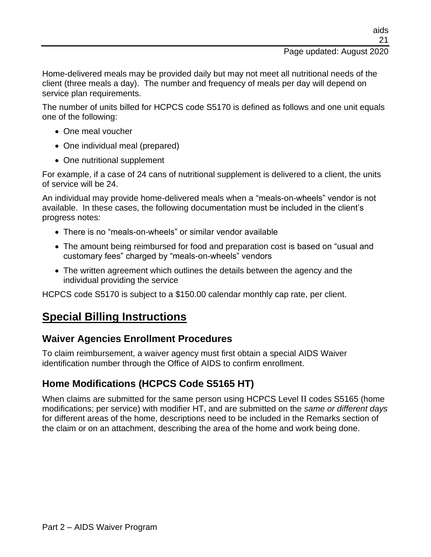#### Page updated: August 2020

Home-delivered meals may be provided daily but may not meet all nutritional needs of the client (three meals a day). The number and frequency of meals per day will depend on service plan requirements.

The number of units billed for HCPCS code S5170 is defined as follows and one unit equals one of the following:

- One meal voucher
- One individual meal (prepared)
- One nutritional supplement

For example, if a case of 24 cans of nutritional supplement is delivered to a client, the units of service will be 24.

An individual may provide home-delivered meals when a "meals-on-wheels" vendor is not available. In these cases, the following documentation must be included in the client's progress notes:

- There is no "meals-on-wheels" or similar vendor available
- The amount being reimbursed for food and preparation cost is based on "usual and customary fees" charged by "meals-on-wheels" vendors
- The written agreement which outlines the details between the agency and the individual providing the service

HCPCS code S5170 is subject to a \$150.00 calendar monthly cap rate, per client.

# **Special Billing Instructions**

## **Waiver Agencies Enrollment Procedures**

To claim reimbursement, a waiver agency must first obtain a special AIDS Waiver identification number through the Office of AIDS to confirm enrollment.

# **Home Modifications (HCPCS Code S5165 HT)**

When claims are submitted for the same person using HCPCS Level II codes S5165 (home modifications; per service) with modifier HT, and are submitted on the *same or different days* for different areas of the home, descriptions need to be included in the Remarks section of the claim or on an attachment, describing the area of the home and work being done.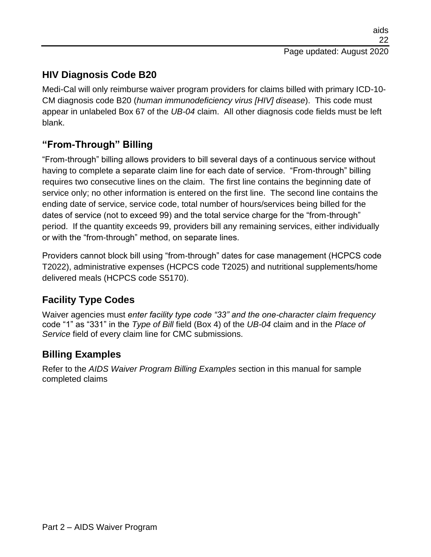# **HIV Diagnosis Code B20**

Medi-Cal will only reimburse waiver program providers for claims billed with primary ICD-10- CM diagnosis code B20 (*human immunodeficiency virus [HIV] disease*). This code must appear in unlabeled Box 67 of the *UB-04* claim. All other diagnosis code fields must be left blank.

# **"From-Through" Billing**

"From-through" billing allows providers to bill several days of a continuous service without having to complete a separate claim line for each date of service. "From-through" billing requires two consecutive lines on the claim. The first line contains the beginning date of service only; no other information is entered on the first line. The second line contains the ending date of service, service code, total number of hours/services being billed for the dates of service (not to exceed 99) and the total service charge for the "from-through" period. If the quantity exceeds 99, providers bill any remaining services, either individually or with the "from-through" method, on separate lines.

Providers cannot block bill using "from-through" dates for case management (HCPCS code T2022), administrative expenses (HCPCS code T2025) and nutritional supplements/home delivered meals (HCPCS code S5170).

## **Facility Type Codes**

Waiver agencies must *enter facility type code "33" and the one-character claim frequency* code "1" as "331" in the *Type of Bill* field (Box 4) of the *UB-04* claim and in the *Place of Service* field of every claim line for CMC submissions.

## **Billing Examples**

Refer to the *AIDS Waiver Program Billing Examples* section in this manual for sample completed claims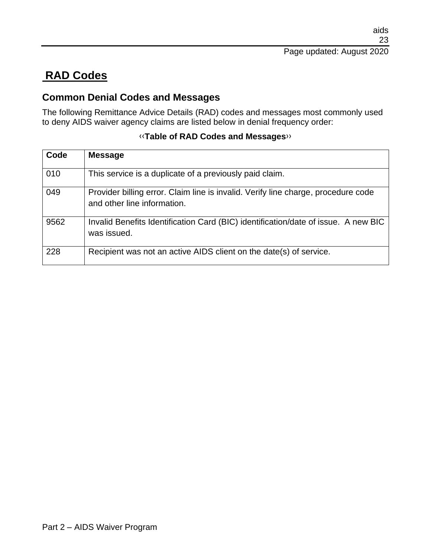# **RAD Codes**

#### **Common Denial Codes and Messages**

The following Remittance Advice Details (RAD) codes and messages most commonly used to deny AIDS waiver agency claims are listed below in denial frequency order:

| Code | <b>Message</b>                                                                                                   |
|------|------------------------------------------------------------------------------------------------------------------|
| 010  | This service is a duplicate of a previously paid claim.                                                          |
| 049  | Provider billing error. Claim line is invalid. Verify line charge, procedure code<br>and other line information. |
| 9562 | Invalid Benefits Identification Card (BIC) identification/date of issue. A new BIC<br>was issued.                |
| 228  | Recipient was not an active AIDS client on the date(s) of service.                                               |

#### [‹‹](#page-24-0)**Table of RAD Codes and Messages**[››](#page-24-1)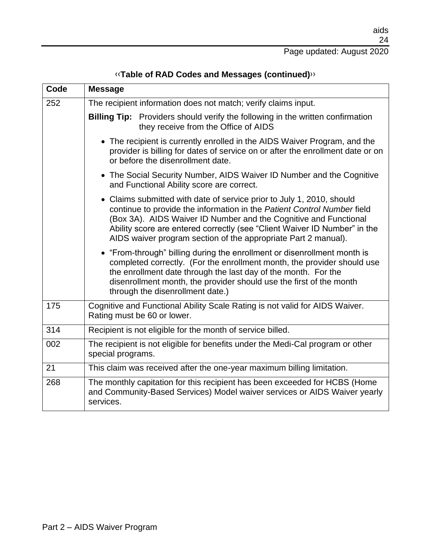| Code | <b>Message</b>                                                                                                                                                                                                                                                                                                                                                      |
|------|---------------------------------------------------------------------------------------------------------------------------------------------------------------------------------------------------------------------------------------------------------------------------------------------------------------------------------------------------------------------|
| 252  | The recipient information does not match; verify claims input.                                                                                                                                                                                                                                                                                                      |
|      | Billing Tip: Providers should verify the following in the written confirmation<br>they receive from the Office of AIDS                                                                                                                                                                                                                                              |
|      | • The recipient is currently enrolled in the AIDS Waiver Program, and the<br>provider is billing for dates of service on or after the enrollment date or on<br>or before the disenrollment date.                                                                                                                                                                    |
|      | • The Social Security Number, AIDS Waiver ID Number and the Cognitive<br>and Functional Ability score are correct.                                                                                                                                                                                                                                                  |
|      | • Claims submitted with date of service prior to July 1, 2010, should<br>continue to provide the information in the Patient Control Number field<br>(Box 3A). AIDS Waiver ID Number and the Cognitive and Functional<br>Ability score are entered correctly (see "Client Waiver ID Number" in the<br>AIDS waiver program section of the appropriate Part 2 manual). |
|      | • "From-through" billing during the enrollment or disenrollment month is<br>completed correctly. (For the enrollment month, the provider should use<br>the enrollment date through the last day of the month. For the<br>disenrollment month, the provider should use the first of the month<br>through the disenrollment date.)                                    |
| 175  | Cognitive and Functional Ability Scale Rating is not valid for AIDS Waiver.<br>Rating must be 60 or lower.                                                                                                                                                                                                                                                          |
| 314  | Recipient is not eligible for the month of service billed.                                                                                                                                                                                                                                                                                                          |
| 002  | The recipient is not eligible for benefits under the Medi-Cal program or other<br>special programs.                                                                                                                                                                                                                                                                 |
| 21   | This claim was received after the one-year maximum billing limitation.                                                                                                                                                                                                                                                                                              |
| 268  | The monthly capitation for this recipient has been exceeded for HCBS (Home<br>and Community-Based Services) Model waiver services or AIDS Waiver yearly<br>services.                                                                                                                                                                                                |

[‹‹](#page-24-0)**Table of RAD Codes and Messages (continued)**[››](#page-24-1)